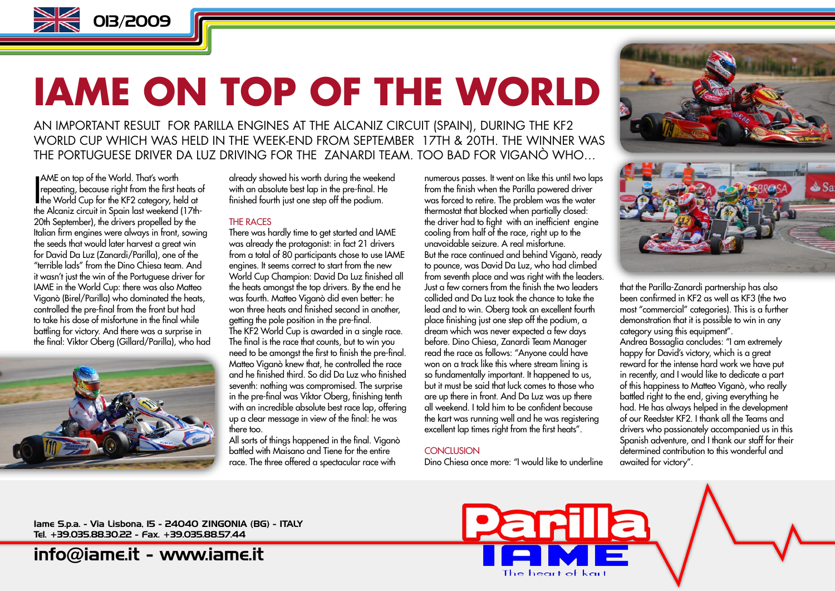

## **IAME ON TOP OF THE WORLD**

AN IMPORTANT RESULT FOR PARILLA ENGINES AT THE ALCANIZ CIRCUIT (SPAIN), DURING THE KF2 WORLD CUP WHICH WAS HELD IN THE WEEK-END FROM SEPTEMBER 17TH & 20TH. THE WINNER WAS THE PORTUGUESE DRIVER DA LUZ DRIVING FOR THE ZANARDI TEAM. TOO BAD FOR VIGANÒ WHO…

AME on top of the World. That's worth<br>repeating, because right from the first heats of<br>the World Cup for the KF2 category, held at<br>the Alemin simulation Spain last worked (17th AME on top of the World. That's worth repeating, because right from the first heats of the Alcaniz circuit in Spain last weekend (17th-20th September), the drivers propelled by the Italian firm engines were always in front, sowing the seeds that would later harvest a great win for David Da Luz (Zanardi/Parilla), one of the "terrible lads" from the Dino Chiesa team. And it wasn't just the win of the Portuguese driver for IAME in the World Cup: there was also Matteo Viganò (Birel/Parilla) who dominated the heats, controlled the pre-final from the front but had to take his dose of misfortune in the final while battling for victory. And there was a surprise in the final: Viktor Oberg (Gillard/Parilla), who had



already showed his worth during the weekend with an absolute best lap in the pre-final. He finished fourth just one step off the podium.

#### THE RACES

There was hardly time to get started and IAME was already the protagonist: in fact 21 drivers from a total of 80 participants chose to use IAME engines. It seems correct to start from the new World Cup Champion: David Da Luz finished all the heats amongst the top drivers. By the end he was fourth. Matteo Viganò did even better: he won three heats and finished second in another, getting the pole position in the pre-final. The KF2 World Cup is awarded in a single race. The final is the race that counts, but to win you need to be amongst the first to finish the pre-final. Matteo Viganò knew that, he controlled the race and he finished third. So did Da Luz who finished seventh: nothing was compromised. The surprise in the pre-final was Viktor Oberg, finishing tenth with an incredible absolute best race lap, offering up a clear message in view of the final: he was there too.

All sorts of things happened in the final. Viganò battled with Maisano and Tiene for the entire race. The three offered a spectacular race with

numerous passes. It went on like this until two laps from the finish when the Parilla powered driver was forced to retire. The problem was the water thermostat that blocked when partially closed: the driver had to fight with an inefficient engine cooling from half of the race, right up to the unavoidable seizure. A real misfortune. But the race continued and behind Viganò, ready to pounce, was David Da Luz, who had climbed from seventh place and was right with the leaders. Just a few corners from the finish the two leaders collided and Da Luz took the chance to take the lead and to win. Oberg took an excellent fourth place finishing just one step off the podium, a dream which was never expected a few days before. Dino Chiesa, Zanardi Team Manager read the race as follows: "Anyone could have won on a track like this where stream lining is so fundamentally important. It happened to us, but it must be said that luck comes to those who are up there in front. And Da Luz was up there all weekend. I told him to be confident because the kart was running well and he was registering excellent lap times right from the first heats".

#### **CONCLUSION**

Dino Chiesa once more: "I would like to underline



that the Parilla-Zanardi partnership has also been confirmed in KF2 as well as KF3 (the two most "commercial" categories). This is a further demonstration that it is possible to win in any category using this equipment". Andrea Bossaglia concludes: "I am extremely happy for David's victory, which is a great reward for the intense hard work we have put in recently, and I would like to dedicate a part of this happiness to Matteo Viganò, who really battled right to the end, giving everything he had. He has always helped in the development of our Reedster KF2. I thank all the Teams and drivers who passionately accompanied us in this Spanish adventure, and I thank our staff for their determined contribution to this wonderful and awaited for victory".

Iame S.p.a. - Via Lisbona, 15 - 24040 ZINGONIA (BG) - ITALY Tel. +39.035.88.30.22 - Fax. +39.035.88.57.44

[info@iame.it](mailto:info@iame.it) -<www.iame.it>

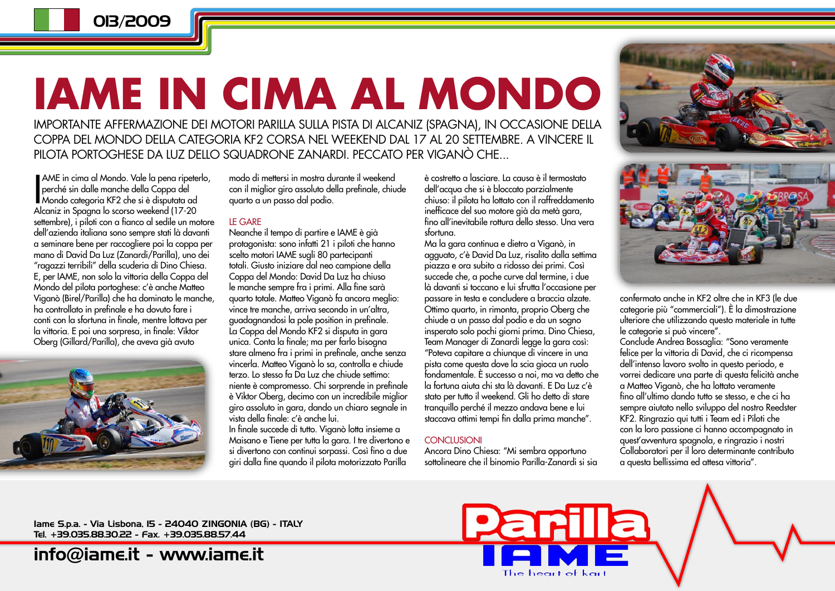013/2009

# **IAME IN CIMA AL MONDO**

IMPORTANTE AFFERMAZIONE DEI MOTORI PARILLA SULLA PISTA DI ALCANIZ (SPAGNA), IN OCCASIONE DELLA COPPA DEL MONDO DELLA CATEGORIA KF2 CORSA NEL WEEKEND DAL 17 AL 20 SETTEMBRE. A VINCERE IL PILOTA PORTOGHESE DA LUZ DELLO SQUADRONE ZANARDI. PECCATO PER VIGANÒ CHE...

AME in cima al Mondo. Vale la pena ripeter<br>perché sin dalle manche della Coppa del<br>Mondo categoria KF2 che si è disputata ad<br>Alcaniz in Spagna lo scorso vrapkond (17-20 AME in cima al Mondo. Vale la pena ripeterlo, perché sin dalle manche della Coppa del Alcaniz in Spagna lo scorso weekend (17-20 settembre), i piloti con a fianco al sedile un motore dell'azienda italiana sono sempre stati là davanti a seminare bene per raccogliere poi la coppa per mano di David Da Luz (Zanardi/Parilla), uno dei "ragazzi terribili" della scuderia di Dino Chiesa. E, per IAME, non solo la vittoria della Coppa del Mondo del pilota portoghese: c'è anche Matteo Viganò (Birel/Parilla) che ha dominato le manche, ha controllato in prefinale e ha dovuto fare i conti con la sfortuna in finale, mentre lottava per la vittoria. E poi una sorpresa, in finale: Viktor Oberg (Gillard/Parilla), che aveva già avuto



modo di mettersi in mostra durante il weekend con il miglior giro assoluto della prefinale, chiude quarto a un passo dal podio.

#### LE GARE

Neanche il tempo di partire e IAME è già protagonista: sono infatti 21 i piloti che hanno scelto motori IAME sugli 80 partecipanti totali. Giusto iniziare dal neo campione della Coppa del Mondo: David Da Luz ha chiuso le manche sempre fra i primi. Alla fine sarà quarto totale. Matteo Viganò fa ancora meglio: vince tre manche, arriva secondo in un'altra, guadagnandosi la pole position in prefinale. La Coppa del Mondo KF2 si disputa in gara unica. Conta la finale; ma per farlo bisogna stare almeno fra i primi in prefinale, anche senza vincerla. Matteo Viganò lo sa, controlla e chiude terzo. Lo stesso fa Da Luz che chiude settimo: niente è compromesso. Chi sorprende in prefinale è Viktor Oberg, decimo con un incredibile miglior giro assoluto in gara, dando un chiaro segnale in vista della finale: c'è anche lui.

In finale succede di tutto. Viganò lotta insieme a Maisano e Tiene per tutta la gara. I tre divertono e si divertono con continui sorpassi. Così fino a due giri dalla fine quando il pilota motorizzato Parilla

è costretto a lasciare. La causa è il termostato dell'acqua che si è bloccato parzialmente chiuso: il pilota ha lottato con il raffreddamento inefficace del suo motore già da metà gara, fino all'inevitabile rottura dello stesso. Una vera sfortuna.

Ma la gara continua e dietro a Viganò, in agguato, c'è David Da Luz, risalito dalla settima piazza e ora subito a ridosso dei primi. Così succede che, a poche curve dal termine, i due là davanti si toccano e lui sfrutta l'occasione per passare in testa e concludere a braccia alzate. Ottimo quarto, in rimonta, proprio Oberg che chiude a un passo dal podio e da un sogno insperato solo pochi giorni prima. Dino Chiesa, Team Manager di Zanardi legge la gara così: "Poteva capitare a chiunque di vincere in una pista come questa dove la scia gioca un ruolo fondamentale. È successo a noi, ma va detto che la fortuna aiuta chi sta là davanti. E Da Luz c'è stato per tutto il weekend. Gli ho detto di stare tranquillo perché il mezzo andava bene e lui staccava ottimi tempi fin dalla prima manche".

#### **CONCLUSIONI**

Ancora Dino Chiesa: "Mi sembra opportuno sottolineare che il binomio Parilla-Zanardi si sia

**Parilla** 

The heart of kart





confermato anche in KF2 oltre che in KF3 (le due categorie più "commerciali"). È la dimostrazione ulteriore che utilizzando questo materiale in tutte le categorie si può vincere".

Conclude Andrea Bossaglia: "Sono veramente felice per la vittoria di David, che ci ricompensa dell'intenso lavoro svolto in questo periodo, e vorrei dedicare una parte di questa felicità anche a Matteo Viganò, che ha lottato veramente fino all'ultimo dando tutto se stesso, e che ci ha sempre aiutato nello sviluppo del nostro Reedster KF2. Ringrazio qui tutti i Team ed i Piloti che con la loro passione ci hanno accompagnato in quest'avventura spagnola, e ringrazio i nostri Collaboratori per il loro determinante contributo a questa bellissima ed attesa vittoria".

Iame S.p.a. - Via Lisbona, 15 - 24040 ZINGONIA (BG) - ITALY Tel. +39.035.88.30.22 - Fax. +39.035.88.57.44

[info@iame.it](mailto:info@iame.it) -<www.iame.it>